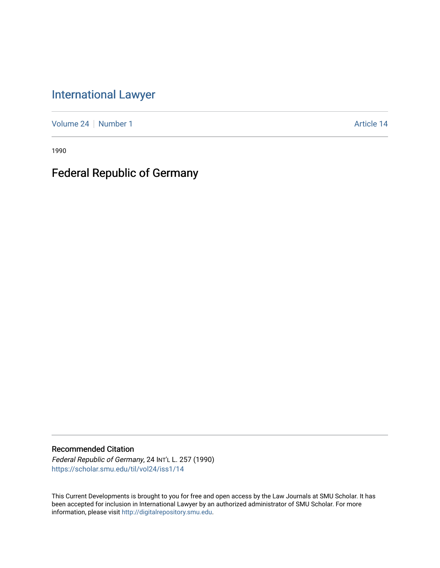## [International Lawyer](https://scholar.smu.edu/til)

[Volume 24](https://scholar.smu.edu/til/vol24) | [Number 1](https://scholar.smu.edu/til/vol24/iss1) Article 14

1990

# Federal Republic of Germany

## Recommended Citation

Federal Republic of Germany, 24 INT'L L. 257 (1990) [https://scholar.smu.edu/til/vol24/iss1/14](https://scholar.smu.edu/til/vol24/iss1/14?utm_source=scholar.smu.edu%2Ftil%2Fvol24%2Fiss1%2F14&utm_medium=PDF&utm_campaign=PDFCoverPages)

This Current Developments is brought to you for free and open access by the Law Journals at SMU Scholar. It has been accepted for inclusion in International Lawyer by an authorized administrator of SMU Scholar. For more information, please visit [http://digitalrepository.smu.edu](http://digitalrepository.smu.edu/).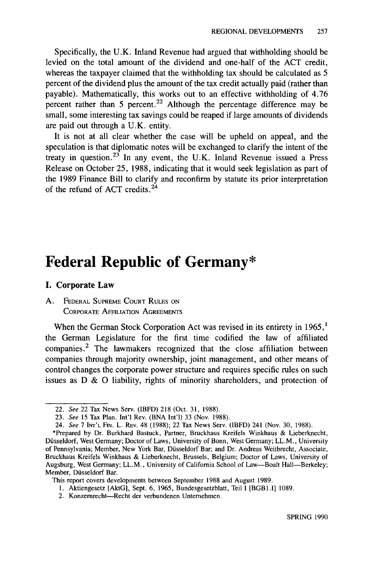Specifically, the U.K. Inland Revenue had argued that withholding should be levied on the total amount of the dividend and one-half of the ACT credit, whereas the taxpayer claimed that the withholding tax should be calculated as 5 percent of the dividend plus the amount of the tax credit actually paid (rather than payable). Mathematically, this works out to an effective withholding of 4.76 percent rather than 5 percent.<sup>22</sup> Although the percentage difference may be small, some interesting tax savings could be reaped if large amounts of dividends are paid out through a U.K. entity.

It is not at all clear whether the case will be upheld on appeal, and the speculation is that diplomatic notes will be exchanged to clarify the intent of the treaty in question.<sup>23</sup> In any event, the U.K. Inland Revenue issued a Press Release on October 25, 1988, indicating that it would seek legislation as part of the 1989 Finance Bill to clarify and reconfirm by statute its prior interpretation of the refund of ACT credits. $24$ 

## **Federal Republic of Germany\***

#### **I. Corporate Law**

## **A.** FEDERAL **SUPREME COURT RULES ON** CORPORATE **AFFILIATION AGREEMENTS**

When the German Stock Corporation Act was revised in its entirety in  $1965$ ,<sup>1</sup> the German Legislature for the first time codified the law of affiliated companies.<sup>2</sup> The lawmakers recognized that the close affiliation between companies through majority ownership, joint management, and other means of control changes the corporate power structure and requires specific rules on such issues as D & **0** liability, rights of minority shareholders, and protection of

<sup>22.</sup> See 22 Tax News Serv. (IBFD) 218 (Oct. 31, 1988).

<sup>23.</sup> See 15 Tax Plan. Int'l Rev. (BNA Int'l) 33 (Nov. 1988).

<sup>24.</sup> See 7 **INT'L** FIN. L. REV. 48 (1988); 22 Tax News Serv. (IBFD) 241 (Nov. 30, 1988).

<sup>\*</sup>Prepared by Dr. Burkhard Bastuck, Partner, Bruckhaus Kreifels Winkhaus & Lieberknecht, Düsseldorf, West Germany; Doctor of Laws, University of Bonn, West Germany; LL.M., University of Pennsylvania; Member, New York Bar, Disseldorf Bar; and Dr. Andreas Weitbrecht, Associate, Bruckhaus Kreifels Winkhaus & Lieberknecht, Brussels, Belgium; Doctor of Laws, University of Augsburg, West Germany; LL.M., University of California School of Law-Boalt Hall-Berkeley; Member, Düsseldorf Bar.

This report covers developments between September 1988 and August 1989.

**<sup>1.</sup>** Aktiengesetz [AktG], Sept. 6, 1965, Bundesgesetzblatt, Teil I [BGBI.II 1089.

<sup>2.</sup> Konzernrecht-Recht der verbundenen Unternehmen.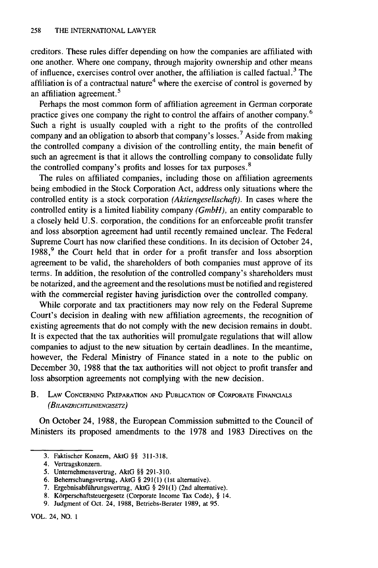creditors. These rules differ depending on how the companies are affiliated with one another. Where one company, through majority ownership and other means of influence, exercises control over another, the affiliation is called factual.<sup>3</sup> The affiliation is of a contractual nature<sup>4</sup> where the exercise of control is governed by an affiliation agreement.<sup>5</sup>

Perhaps the most common form of affiliation agreement in German corporate practice gives one company the right to control the affairs of another company.<sup>6</sup> Such a right is usually coupled with a right to the profits of the controlled company and an obligation to absorb that company's losses. 7 Aside from making the controlled company a division of the controlling entity, the main benefit of such an agreement is that it allows the controlling company to consolidate fully the controlled company's profits and losses for tax purposes. <sup>8</sup>

The rules on affiliated companies, including those on affiliation agreements being embodied in the Stock Corporation Act, address only situations where the controlled entity is a stock corporation *(Aktiengesellschaft).* In cases where the controlled entity is a limited liability company *(GmbH),* an entity comparable to a closely held U.S. corporation, the conditions for an enforceable profit transfer and loss absorption agreement had until recently remained unclear. The Federal Supreme Court has now clarified these conditions. In its decision of October 24, 1988,<sup>9</sup> the Court held that in order for a profit transfer and loss absorption agreement to be valid, the shareholders of both companies must approve of its terms. In addition, the resolution of the controlled company's shareholders must be notarized, and the agreement and the resolutions must be notified and registered with the commercial register having jurisdiction over the controlled company.

While corporate and tax practitioners may now rely on the Federal Supreme Court's decision in dealing with new affiliation agreements, the recognition of existing agreements that do not comply with the new decision remains in doubt. It is expected that the tax authorities will promulgate regulations that will allow companies to adjust to the new situation by certain deadlines. In the meantime, however, the Federal Ministry of Finance stated in a note to the public on December 30, 1988 that the tax authorities will not object to profit transfer and loss absorption agreements not complying with the new decision.

B. LAW **CONCERNING** PREPARATION **AND PUBLICATION** OF CORPORATE **FINANCIALS** *(BJLANZRCHTLINIENGESETZ)*

On October 24, **1988,** the European Commission submitted to the Council of Ministers its proposed amendments to the **1978** and **1983** Directives on the

- **7.** Ergebnisabfiihrungsvertrag, AktG § **291(1)** (2nd alternative).
- 8. Körperschaftsteuergesetz (Corporate Income Tax Code), § 14.
- **9.** Judgment of Oct. 24, **1988,** Betriebs-Berater **1989,** at **95.**

**<sup>3.</sup>** Faktischer Konzem, AktG §§ **311-318.**

<sup>4.</sup> Vertragskonzern.

**<sup>5.</sup>** Unternehmensvertrag, AktG §§ **291-310.**

**<sup>6.</sup>** Beherrschungsvertrag, AktG § **291(1)** (1st alternative).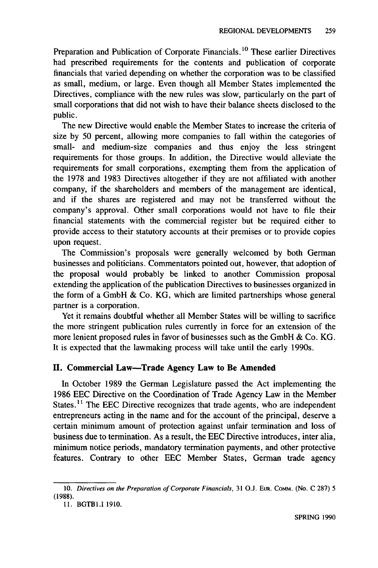Preparation and Publication of Corporate Financials. **1 <sup>0</sup>**These earlier Directives had prescribed requirements for the contents and publication of corporate financials that varied depending on whether the corporation was to be classified as small, medium, or large. Even though all Member States implemented the Directives, compliance with the new rules was slow, particularly on the part of small corporations that did not wish to have their balance sheets disclosed to the public.

The new Directive would enable the Member States to increase the criteria of size by 50 percent, allowing more companies to fall within the categories of small- and medium-size companies and thus enjoy the less stringent requirements for those groups. In addition, the Directive would alleviate the requirements for small corporations, exempting them from the application of the 1978 and 1983 Directives altogether if they are not affiliated with another company, if the shareholders and members of the management are identical, and if the shares are registered and may not be transferred without the company's approval. Other small corporations would not have to file their financial statements with the commercial register but be required either to provide access to their statutory accounts at their premises or to provide copies upon request.

The Commission's proposals were generally welcomed by both German businesses and politicians. Commentators pointed out, however, that adoption of the proposal would probably be linked to another Commission proposal extending the application of the publication Directives to businesses organized in the form of a GmbH & Co. KG, which are limited partnerships whose general partner is a corporation.

Yet it remains doubtful whether all Member States will be willing to sacrifice the more stringent publication rules currently in force for an extension of the more lenient proposed rules in favor of businesses such as the GmbH & Co. KG. It is expected that the lawmaking process will take until the early 1990s.

## **II. Commercial Law-Trade Agency Law to Be Amended**

In October **1989** the German Legislature passed the Act implementing the 1986 EEC Directive on the Coordination of Trade Agency Law in the Member States.<sup>11</sup> The EEC Directive recognizes that trade agents, who are independent entrepreneurs acting in the name and for the account of the principal, deserve a certain minimum amount of protection against unfair termination and loss of business due to termination. As a result, the EEC Directive introduces, inter alia, minimum notice periods, mandatory termination payments, and other protective features. Contrary to other EEC Member States, German trade agency

<sup>10.</sup> *Directives on the Preparation of Corporate Financials,* 31 O.J. EuR. Comm. (No. C 287) 5 (1988).

<sup>11.</sup> BGTBI.I 1910.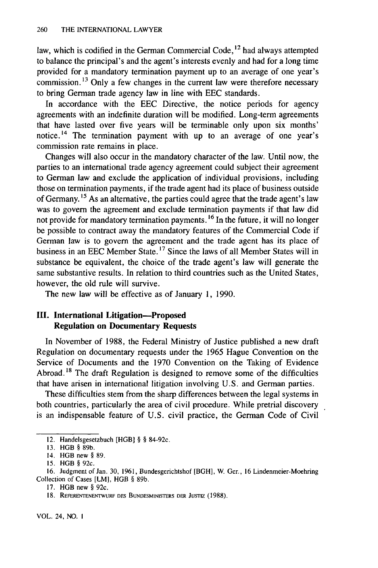law, which is codified in the German Commercial Code,<sup>12</sup> had always attempted to balance the principal's and the agent's interests evenly and had for a long time provided for a mandatory termination payment up to an average of one year's commission.<sup>13</sup> Only a few changes in the current law were therefore necessary to bring German trade agency law in line with EEC standards.

In accordance with the EEC Directive, the notice periods for agency agreements with an indefinite duration will be modified. Long-term agreements that have lasted over five years will be terminable only upon six months' notice.<sup>14</sup> The termination payment with up to an average of one year's commission rate remains in place.

Changes will also occur in the mandatory character of the law. Until now, the parties to an international trade agency agreement could subject their agreement to German law and exclude the application of individual provisions, including those on termination payments, if the trade agent had its place of business outside of Germany. *1 <sup>5</sup>*As an alternative, the parties could agree that the trade agent's law was to govern the agreement and exclude termination payments if that law did not provide for mandatory termination payments. **16** In the future, it will no longer be possible to contract away the mandatory features of the Commercial Code if German law is to govern the agreement and the trade agent has its place of business in an EEC Member State. **17** Since the laws of all Member States will in substance be equivalent, the choice of the trade agent's law will generate the same substantive results. In relation to third countries such as the United States, however, the old rule will survive.

The new law will be effective as of January 1, 1990.

## **III. International Litigation-Proposed Regulation on Documentary Requests**

In November of 1988, the Federal Ministry of Justice published a new draft Regulation on documentary requests under the 1965 Hague Convention on the Service of Documents and the 1970 Convention on the Taking of Evidence Abroad. **18** The draft Regulation is designed to remove some of the difficulties that have arisen in international litigation involving U.S. and German parties.

These difficulties stem from the sharp differences between the legal systems in both countries, particularly the area of civil procedure. While pretrial discovery is an indispensable feature of U.S. civil practice, the German Code of Civil

VOL. 24, NO. **I**

<sup>12.</sup> Handelsgesetzbuch [HGB] § § 84-92c.

<sup>13.</sup> HGB § 89b.

<sup>14.</sup> HGB new § 89.

<sup>15.</sup> HGB § 92c.

<sup>16.</sup> Judgment of Jan. 30, 1961, Bundesgerichtshof [BGH], W. Ger., 16 Lindenmeier-Moehring Collection of Cases [LM], HGB § 89b.

<sup>17.</sup> HGB new § 92c.

<sup>18.</sup> REFERENTENENTWURF DES BUNDESMINISTERS DER JUSTIZ (1988).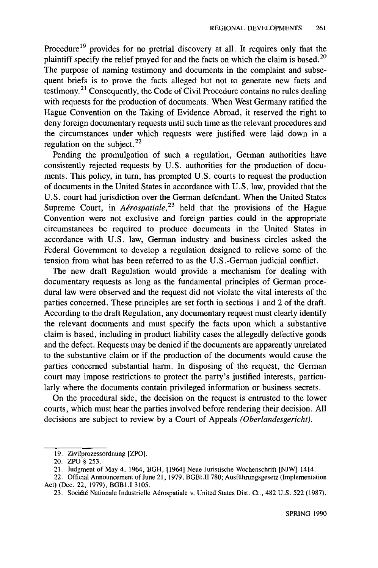Procedure<sup>19</sup> provides for no pretrial discovery at all. It requires only that the plaintiff specify the relief prayed for and the facts on which the claim is based.<sup>20</sup> The purpose of naming testimony and documents in the complaint and subsequent briefs is to prove the facts alleged but not to generate new facts and testimony.<sup>21</sup> Consequently, the Code of Civil Procedure contains no rules dealing with requests for the production of documents. When West Germany ratified the Hague Convention on the Taking of Evidence Abroad, it reserved the right to deny foreign documentary requests until such time as the relevant procedures and the circumstances under which requests were justified were laid down in a regulation on the subject.<sup>22</sup>

Pending the promulgation of such a regulation, German authorities have consistently rejected requests by U.S. authorities for the production of documents. This policy, in turn, has prompted U.S. courts to request the production of documents in the United States in accordance with U.S. law, provided that the U.S. court had jurisdiction over the German defendant. When the United States Supreme Court, in *Aérospatiale*,<sup>23</sup> held that the provisions of the Hague Convention were not exclusive and foreign parties could in the appropriate circumstances be required to produce documents in the United States in accordance with U.S. law, German industry and business circles asked the Federal Government to develop a regulation designed to relieve some of the tension from what has been referred to as the U.S.-German judicial conflict.

The new draft Regulation would provide a mechanism for dealing with documentary requests as long as the fundamental principles of German procedural law were observed and the request did not violate the vital interests of the parties concerned. These principles are set forth in sections 1 and 2 of the draft. According to the draft Regulation, any documentary request must clearly identify the relevant documents and must specify the facts upon which a substantive claim is based, including in product liability cases the allegedly defective goods and the defect. Requests may be denied if the documents are apparently unrelated to the substantive claim or if the production of the documents would cause the parties concerned substantial harm. In disposing of the request, the German court may impose restrictions to protect the party's justified interests, particularly where the documents contain privileged information or business secrets.

On the procedural side, the decision on the request is entrusted to the lower courts, which must hear the parties involved before rendering their decision. All decisions are subject to review by a Court of Appeals *(Oberlandesgericht).*

<sup>19.</sup> Zivilprozessordnung [ZPO].

<sup>20.</sup> ZPO § 253.

<sup>21.</sup> Judgment of May 4, 1964, BGH, [1964] Neue Juristische Wochenschrift [NJW] 1414.

<sup>22.</sup> Official Announcement of June 21, 1979, BGBl.II 780; Ausffihrungsgesetz (Implementation Act) (Dec. 22, 1979), BGBI.I 3105.

<sup>23.</sup> Société Nationale Industrielle Aérospatiale v. United States Dist. Ct., 482 U.S. 522 (1987).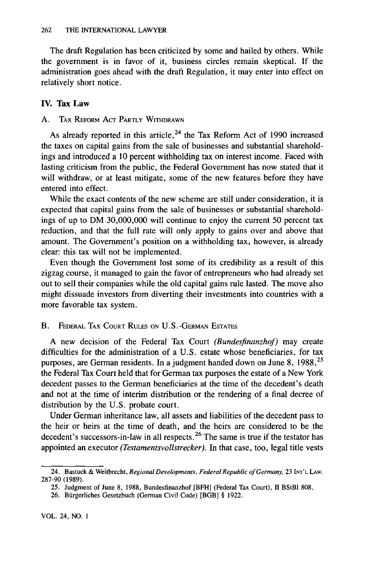The draft Regulation has been criticized by some and hailed by others. While the government is in favor of it, business circles remain skeptical. If the administration goes ahead with the draft Regulation, it may enter into effect on relatively short notice.

## IV. Tax Law

## **A.** TAX REFORM **ACT** PARTLY WITHDRAWN

As already reported in this article,  $24$  the Tax Reform Act of 1990 increased the taxes on capital gains from the sale of businesses and substantial shareholdings and introduced a 10 percent withholding tax on interest income. Faced with lasting criticism from the public, the Federal Government has now stated that it will withdraw, or at least mitigate, some of the new features before they have entered into effect.

While the exact contents of the new scheme are still under consideration, it is expected that capital gains from the sale of businesses or substantial shareholdings of up to DM 30,000,000 will continue to enjoy the current 50 percent tax reduction, and that the full rate will only apply to gains over and above that amount. The Government's position on a withholding tax, however, is already clear: this tax will not be implemented.

Even though the Government lost some of its credibility as a result of this zigzag course, it managed to gain the favor of entrepreneurs who had already set out to sell their companies while the old capital gains rule lasted. The move also might dissuade investors from diverting their investments into countries with a more favorable tax system.

## B. FEDERAL **TAX COURT RULES ON U.S.-GERMAN ESTATES**

A new decision of the Federal Tax Court *(Bundesfinanzhof)* may create difficulties for the administration of a U.S. estate whose beneficiaries, for tax purposes, are German residents. In a judgment handed down on June 8, 1988, <sup>25</sup> the Federal Tax Court held that for German tax purposes the estate of a New York decedent passes to the German beneficiaries at the time of the decedent's death and not at the time of interim distribution or the rendering of a final decree of distribution by the U.S. probate court.

Under German inheritance law, all assets and liabilities of the decedent pass to the heir or heirs at the time of death, and the heirs are considered to be the decedent's successors-in-law in all respects.<sup>26</sup> The same is true if the testator has appointed an executor *(Testamentsvollstrecker).* In that case, too, legal title vests

<sup>24.</sup> Bastuck & Weitbrecht, *Regional Developments, Federal Republic of Germany,* 23 **INT'L** LAW. 287-90 (1989).

<sup>25.</sup> Judgment of June 8, 1988, Bundesfinanzhof [BFH] (Federal Tax Court), II BStB1 808.

<sup>26.</sup> Burgerliches Gesetzbuch (German Civil Code) [BGBI § 1922.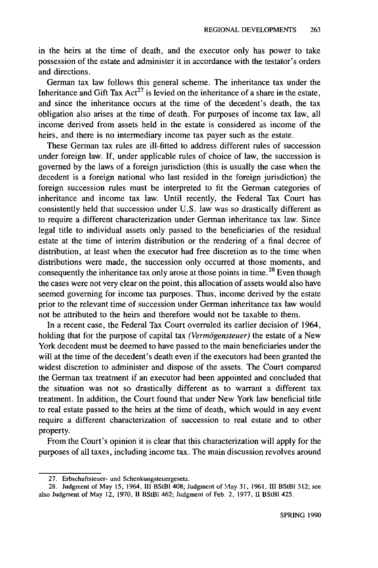in the heirs at the time of death, and the executor only has power to take possession of the estate and administer it in accordance with the testator's orders and directions.

German tax law follows this general scheme. The inheritance tax under the Inheritance and Gift Tax Act<sup>27</sup> is levied on the inheritance of a share in the estate, and since the inheritance occurs at the time of the decedent's death, the tax obligation also arises at the time of death. For purposes of income tax law, all income derived from assets held in the estate is considered as income of the heirs, and there is no intermediary income tax payer such as the estate.

These German tax rules are ill-fitted to address different rules of succession under foreign law. If, under applicable rules of choice of law, the succession is governed by the laws of a foreign jurisdiction (this is usually the case when the decedent is a foreign national who last resided in the foreign jurisdiction) the foreign succession rules must be interpreted to fit the German categories of inheritance and income tax law. Until recently, the Federal Tax Court has consistently held that succession under U.S. law was so drastically different as to require a different characterization under German inheritance tax law. Since legal title to individual assets only passed to the beneficiaries of the residual estate at the time of interim distribution or the rendering of a final decree of distribution, at least when the executor had free discretion as to the time when distributions were made, the succession only occurred at those moments, and consequently the inheritance tax only arose at those points in time.<sup>28</sup> Even though the cases were not very clear on the point, this allocation of assets would also have seemed governing for income tax purposes. Thus, income derived by the estate prior to the relevant time of succession under German inheritance tax law would not be attributed to the heirs and therefore would not be taxable to them.

In a recent case, the Federal Tax Court overruled its earlier decision of 1964, holding that for the purpose of capital tax *(Vermögensteuer)* the estate of a New York decedent must be deemed to have passed to the main beneficiaries under the will at the time of the decedent's death even if the executors had been granted the widest discretion to administer and dispose of the assets. The Court compared the German tax treatment if an executor had been appointed and concluded that the situation was not so drastically different as to warrant a different tax treatment. In addition, the Court found that under New York law beneficial title to real estate passed to the heirs at the time of death, which would in any event require a different characterization of succession to real estate and to other property.

From the Court's opinion it is clear that this characterization will apply for the purposes of all taxes, including income tax. The main discussion revolves around

<sup>27.</sup> Erbschaftsteuer- und Schenkungsteuergesetz.

<sup>28.</sup> Judgment of May 15, 1964, III BStBI 408; Judgment of May 31, 1961, III BStBI 312; see also Judgment of May 12, 1970, **11** BStB1 462; Judgment of Feb. 2, 1977, II BStBI 425.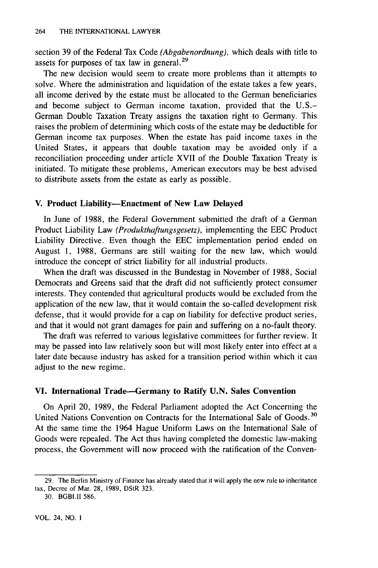section 39 of the Federal Tax Code *(Abgabenordnung),* which deals with title to assets for purposes of tax law in general.<sup>29</sup>

The new decision would seem to create more problems than it attempts to solve. Where the administration and liquidation of the estate takes a few years, all income derived by the estate must be allocated to the German beneficiaries and become subject to German income taxation, provided that the U.S.- German Double Taxation Treaty assigns the taxation right to Germany. This raises the problem of determining which costs of the estate may be deductible for German income tax purposes. When the estate has paid income taxes in the United States, it appears that double taxation may be avoided only if a reconciliation proceeding under article XVII of the Double Taxation Treaty is initiated. To mitigate these problems, American executors may be best advised to distribute assets from the estate as early as possible.

#### **V. Product Liability-Enactment of New Law Delayed**

In June **of** 1988, the Federal Government submitted the draft of a German Product Liability Law *(Produkthaftungsgesetz),* implementing the EEC Product Liability Directive. Even though the EEC implementation period ended on August 1, 1988, Germans are still waiting for the new law, which would introduce the concept of strict liability for all industrial products.

When the draft was discussed in the Bundestag in November of 1988, Social Democrats and Greens said that the draft did not sufficiently protect consumer interests. They contended that agricultural products would be excluded from the application of the new law, that it would contain the so-called development risk defense, that it would provide for a cap on liability for defective product series, and that it would not grant damages for pain and suffering on a no-fault theory.

The draft was referred to various legislative committees for further review. It may be passed into law relatively soon but will most likely enter into effect at a later date because industry has asked for a transition period within which it can adjust to the new regime.

#### **VI. International Trade--Germany to Ratify U.N. Sales Convention**

On April 20, 1989, the Federal Parliament adopted the Act Concerning the United Nations Convention on Contracts for the International Sale of Goods.<sup>30</sup> At the same time the 1964 Hague Uniform Laws on the International Sale of Goods were repealed. The Act thus having completed the domestic law-making process, the Government will now proceed with the ratification of the Conven-

<sup>29.</sup> The Berlin Ministry of Finance has already stated that it will apply the new rule to inheritance tax, Decree of Mar. 28, 1989, DStR 323.

<sup>30.</sup> BGBI.II 586.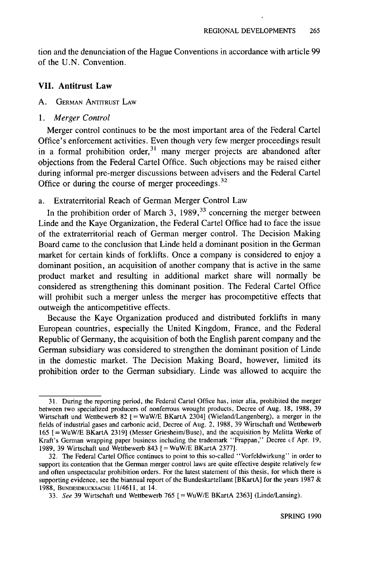tion and the denunciation of the Hague Conventions in accordance with article 99 of the U.N. Convention.

#### **VII. Antitrust Law**

#### **A.** GERMAN ANTITRUST LAW

#### *1. Merger Control*

Merger control continues to be the most important area of the Federal Cartel Office's enforcement activities. Even though very few merger proceedings result in a formal prohibition order,<sup>31</sup> many merger projects are abandoned after objections from the Federal Cartel Office. Such objections may be raised either during informal pre-merger discussions between advisers and the Federal Cartel Office or during the course of merger proceedings.<sup>32</sup>

#### a. Extraterritorial Reach of German Merger Control Law

In the prohibition order of March 3,  $1989<sup>33</sup>$  concerning the merger between Linde and the Kaye Organization, the Federal Cartel Office had to face the issue of the extraterritorial reach of German merger control. The Decision Making Board came to the conclusion that Linde held a dominant position in the German market for certain kinds of forklifts. Once a company is considered to enjoy a dominant position, an acquisition of another company that is active in the same product market and resulting in additional market share will normally be considered as strengthening this dominant position. The Federal Cartel Office will prohibit such a merger unless the merger has procompetitive effects that outweigh the anticompetitive effects.

Because the Kaye Organization produced and distributed forklifts in many European countries, especially the United Kingdom, France, and the Federal Republic of Germany, the acquisition of both the English parent company and the German subsidiary was considered to strengthen the dominant position of Linde in the domestic market. The Decision Making Board, however, limited its prohibition order to the German subsidiary. Linde was allowed to acquire the

<sup>31.</sup> During the reporting period, the Federal Cartel Office has, inter alia, prohibited the merger between two specialized producers of nonferrous wrought products, Decree of Aug. 18, 1988, 39 Wirtschaft und Wettbewerb 82 **[ =** WuW/E BKartA 2304] (Wieland/Langenberg), a merger in the fields of industrial gases and carbonic acid, Decree of Aug. 2, 1988, 39 Wirtschaft und Wettbewerb 165 [=WuW/E BKartA 23191 (Messer Griesheim/Buse), and the acquisition by Melitta Werke of Kraft's German wrapping paper business including the trademark "Frappan," Decree **ef** Apr. 19, 1989, 39 Wirtschaft und Wettbewerb 843 **[=** WuW/E BKartA 2377].

<sup>32.</sup> The Federal Cartel Office continues to point to this so-called "Vorfeldwirkung" in order to support its contention that the German merger control laws are quite effective despite relatively few and often unspectacular prohibition orders. For the latest statement of this thesis, for which there is supporting evidence, see the biannual report of the Bundeskartellamt [BKartA] for the years 1987 & 1988, **BUNDESDRUCKSACHE** 11/4611, at 14.

<sup>33.</sup> See 39 Wirtschaft und Wettbewerb 765 [ = WuW/E BKartA 2363] (Linde/Lansing).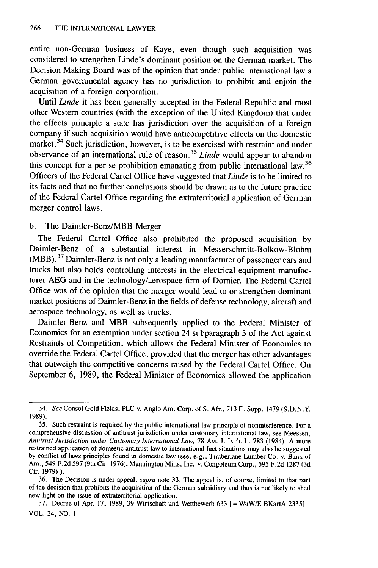entire non-German business of Kaye, even though such acquisition was considered to strengthen Linde's dominant position on the German market. The Decision Making Board was of the opinion that under public international law a German governmental agency has no jurisdiction to prohibit and enjoin the acquisition of a foreign corporation.

Until *Linde* it has been generally accepted in the Federal Republic and most other Western countries (with the exception of the United Kingdom) that under the effects principle a state has jurisdiction over the acquisition of a foreign company if such acquisition would have anticompetitive effects on the domestic market. $34$  Such jurisdiction, however, is to be exercised with restraint and under observance of an international rule of reason. <sup>35</sup>*Linde* would appear to abandon this concept for a per se prohibition emanating from public international law.<sup>36</sup> Officers of the Federal Cartel Office have suggested that *Linde* is to be limited to its facts and that no further conclusions should be drawn as to the future practice of the Federal Cartel Office regarding the extraterritorial application of German merger control laws.

## b. The Daimler-Benz/MBB Merger

The Federal Cartel Office also prohibited the proposed acquisition by Daimler-Benz of a substantial interest in Messerschmitt-Bolkow-Blohm (MBB).<sup>37</sup> Daimler-Benz is not only a leading manufacturer of passenger cars and trucks but also holds controlling interests in the electrical equipment manufacturer AEG and in the technology/aerospace firm of Dornier. The Federal Cartel Office was of the opinion that the merger would lead to or strengthen dominant market positions of Daimler-Benz in the fields of defense technology, aircraft and aerospace technology, as well as trucks.

Daimler-Benz and MBB subsequently applied to the Federal Minister of Economics for an exemption under section 24 subparagraph 3 of the Act against Restraints of Competition, which allows the Federal Minister of Economics to override the Federal Cartel Office, provided that the merger has other advantages that outweigh the competitive concerns raised by the Federal Cartel Office. On September 6, 1989, the Federal Minister of Economics allowed the application

<sup>34.</sup> *See* Consol Gold Fields, PLC v. Anglo Am. Corp. of S. Afr., 713 F. Supp. 1479 (S.D.N.Y. 1989).

<sup>35.</sup> Such restraint is required by the public international law principle of noninterference. For a comprehensive discussion of antitrust jurisdiction under customary international law, see Meessen, Antitrust Jurisdiction under Customary International Law, 78 AM. J. INT<sup>*'*</sup>L L. 783 (1984). A more restrained application of domestic antitrust law to international fact situations may also be suggested by conflict of laws principles found in domestic law (see, e.g., Timberlane Lumber Co. v. Bank of Am., 549 F.2d 597 (9th Cir. 1976); Mannington Mills, Inc. v. Congoleum Corp., 595 F.2d 1287 (3d Cir. 1979) ).

<sup>36.</sup> The Decision is under appeal, *supra* note 33. The appeal is, of course, limited to that part of the decision that prohibits the acquisition of the German subsidiary and thus is not likely to shed new light on the issue of extraterritorial application.

**<sup>37.</sup>** Decree of Apr. **17,** 1989, 39 Wirtschaft und Wettbewerb 633 [= WuW/E BKartA 2335]. VOL. 24, NO. **1**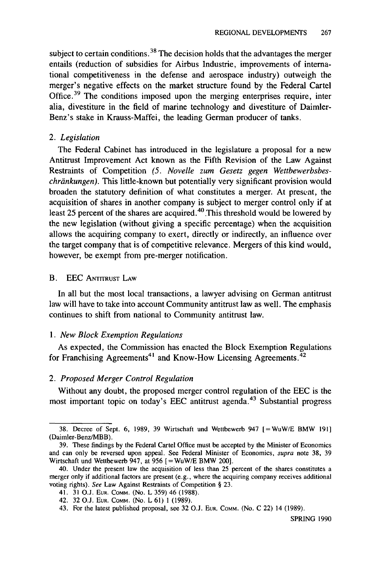subject to certain conditions.<sup>38</sup> The decision holds that the advantages the merger entails (reduction of subsidies for Airbus Industrie, improvements of international competitiveness in the defense and aerospace industry) outweigh the merger's negative effects on the market structure found by the Federal Cartel Office.<sup>39</sup> The conditions imposed upon the merging enterprises require, inter alia, divestiture in the field of marine technology and divestiture of Daimler-Benz's stake in Krauss-Maffei, the leading German producer of tanks.

#### *2. Legislation*

The Federal Cabinet has introduced in the legislature a proposal for a new Antitrust Improvement Act known as the Fifth Revision of the Law Against Restraints of Competition *(5. Novelle zum Gesetz gegen Wettbewerbsbeschriinkungen).* This little-known but potentially very significant provision would broaden the statutory definition of what constitutes a merger. At present, the acquisition of shares in another company is subject to merger control only if at least 25 percent of the shares are acquired. 40 .This threshold would be lowered **by** the new legislation (without giving a specific percentage) when the acquisition allows the acquiring company to exert, directly or indirectly, an influence over the target company that is of competitive relevance. Mergers of this kind would, however, be exempt from pre-merger notification.

#### B. EEC **ANTITRUST** LAW

In all but the most local transactions, a lawyer advising on German antitrust law will have to take into account Community antitrust law as well. The emphasis continues to shift from national to Community antitrust law.

#### *1. New Block Exemption Regulations*

As expected, the Commission has enacted the Block Exemption Regulations for Franchising Agreements<sup>41</sup> and Know-How Licensing Agreements.<sup>42</sup>

## *2. Proposed Merger Control Regulation*

Without any doubt, the proposed merger control regulation of the EEC is the most important topic on today's EEC antitrust agenda.<sup>43</sup> Substantial progress

<sup>38.</sup> Decree of Sept. 6, 1989, 39 Wirtschaft und Wettbewerb 947 [=WuW/E BMW 191] (Daimler-Benz/MBB).

<sup>39.</sup> These findings by the Federal Cartel Office must be accepted by the Minister of Economics and can only be reversed upon appeal. See Federal Minister of Economics, supra note 38, 39 Wirtschaft und Wettbewerb 947, at 956 **[=** WuW/E BMW 200].

<sup>40.</sup> Under the present law the acquisition of less than 25 percent of the shares constitutes a merger only if additional factors are present (e.g., where the acquiring company receives additional voting rights). See Law Against Restraints of Competition § 23.

<sup>41. 31</sup> O.J. EUR. COMM. (No. L 359) 46 (1988).

<sup>42. 32</sup> O.J. **EUR.** COMM. (No. L 61) 1 (1989).

<sup>43.</sup> For the latest published proposal, see 32 O.J. EUR. COMM. (No. C 22) 14 (1989).